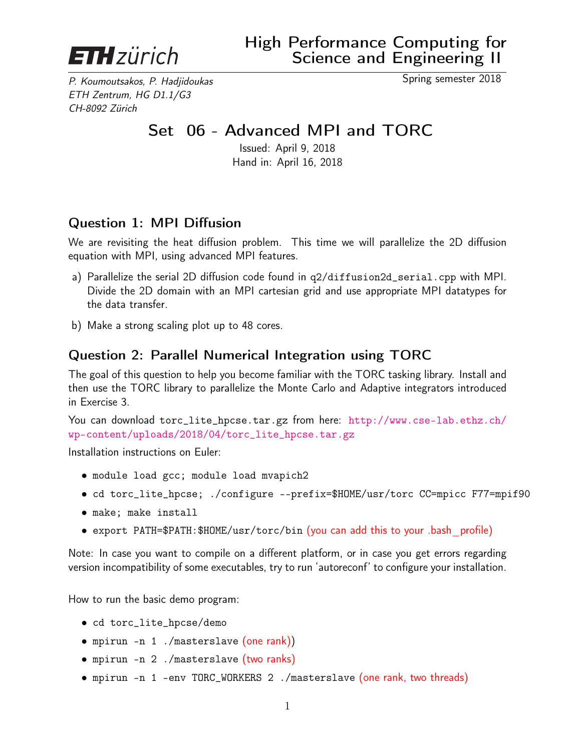

P. Koumoutsakos, P. Hadjidoukas Spring semester 2018 ETH Zentrum, HG D1.1/G3 CH-8092 Zürich

## Set 06 - Advanced MPI and TORC

Issued: April 9, 2018 Hand in: April 16, 2018

## Question 1: MPI Diffusion

We are revisiting the heat diffusion problem. This time we will parallelize the 2D diffusion equation with MPI, using advanced MPI features.

- a) Parallelize the serial 2D diffusion code found in q2/diffusion2d\_serial.cpp with MPI. Divide the 2D domain with an MPI cartesian grid and use appropriate MPI datatypes for the data transfer.
- b) Make a strong scaling plot up to 48 cores.

## Question 2: Parallel Numerical Integration using TORC

The goal of this question to help you become familiar with the TORC tasking library. Install and then use the TORC library to parallelize the Monte Carlo and Adaptive integrators introduced in Exercise 3.

You can download torc\_lite\_hpcse.tar.gz from here: [http://www.cse-lab.ethz.ch/](http://www.cse-lab.ethz.ch/wp-content/uploads/2018/04/torc_lite_hpcse.tar.gz) [wp-content/uploads/2018/04/torc\\_lite\\_hpcse.tar.gz](http://www.cse-lab.ethz.ch/wp-content/uploads/2018/04/torc_lite_hpcse.tar.gz)

Installation instructions on Euler:

- module load gcc; module load mvapich2
- cd torc\_lite\_hpcse; ./configure --prefix=\$HOME/usr/torc CC=mpicc F77=mpif90
- make; make install
- export PATH=\$PATH:\$HOME/usr/torc/bin (you can add this to your .bash profile)

Note: In case you want to compile on a different platform, or in case you get errors regarding version incompatibility of some executables, try to run 'autoreconf' to configure your installation.

How to run the basic demo program:

- cd torc\_lite\_hpcse/demo
- mpirun -n 1 ./masterslave (one rank))
- mpirun -n 2 ./masterslave (two ranks)
- mpirun -n 1 -env TORC\_WORKERS 2 ./masterslave (one rank, two threads)